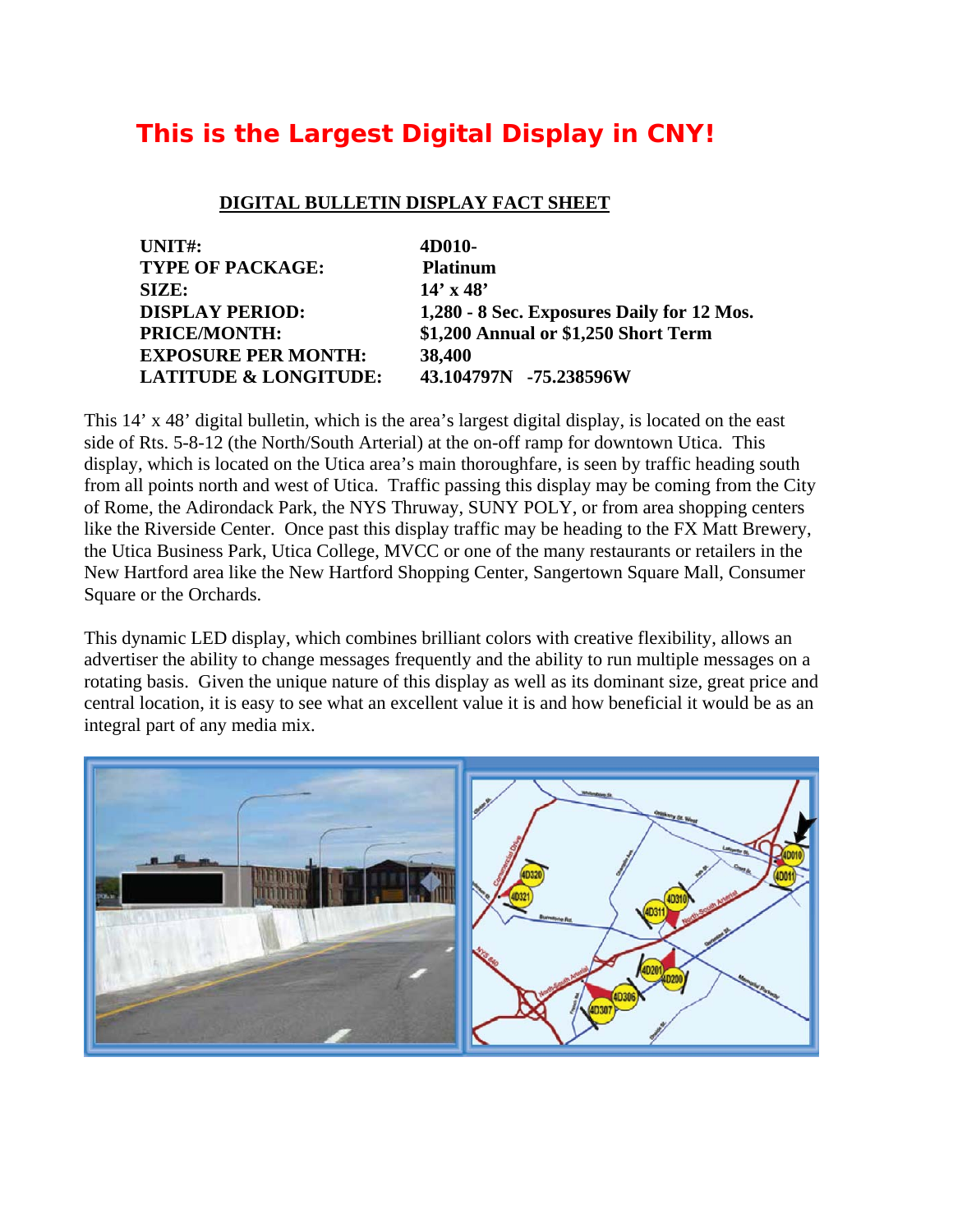## **This is the Largest Digital Display in CNY!**

## **DIGITAL BULLETIN DISPLAY FACT SHEET**

| 4D010-                                     |
|--------------------------------------------|
| <b>Platinum</b>                            |
| $14' \times 48'$                           |
| 1,280 - 8 Sec. Exposures Daily for 12 Mos. |
| \$1,200 Annual or \$1,250 Short Term       |
| 38,400                                     |
| 43.104797N -75.238596W                     |
|                                            |

This 14' x 48' digital bulletin, which is the area's largest digital display, is located on the east side of Rts. 5-8-12 (the North/South Arterial) at the on-off ramp for downtown Utica. This display, which is located on the Utica area's main thoroughfare, is seen by traffic heading south from all points north and west of Utica. Traffic passing this display may be coming from the City of Rome, the Adirondack Park, the NYS Thruway, SUNY POLY, or from area shopping centers like the Riverside Center. Once past this display traffic may be heading to the FX Matt Brewery, the Utica Business Park, Utica College, MVCC or one of the many restaurants or retailers in the New Hartford area like the New Hartford Shopping Center, Sangertown Square Mall, Consumer Square or the Orchards.

This dynamic LED display, which combines brilliant colors with creative flexibility, allows an advertiser the ability to change messages frequently and the ability to run multiple messages on a rotating basis. Given the unique nature of this display as well as its dominant size, great price and central location, it is easy to see what an excellent value it is and how beneficial it would be as an integral part of any media mix.